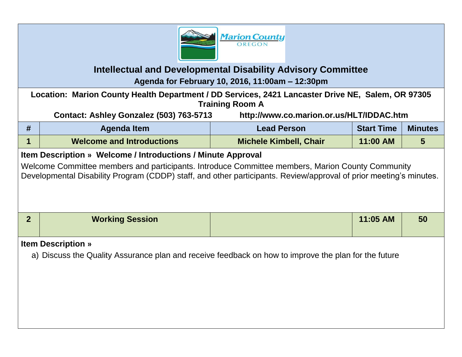

## **Intellectual and Developmental Disability Advisory Committee Agenda for February 10, 2016, 11:00am – 12:30pm**

**Location: Marion County Health Department / DD Services, 2421 Lancaster Drive NE, Salem, OR 97305 Training Room A**

**Contact: Ashley Gonzalez (503) 763-5713 http://www.co.marion.or.us/HLT/IDDAC.htm**

| #                                                                                                                                                                                                                      | <b>Agenda Item</b>               | <b>Lead Person</b>            | <b>Start Time</b> | <b>Minutes</b> |  |  |  |
|------------------------------------------------------------------------------------------------------------------------------------------------------------------------------------------------------------------------|----------------------------------|-------------------------------|-------------------|----------------|--|--|--|
|                                                                                                                                                                                                                        | <b>Welcome and Introductions</b> | <b>Michele Kimbell, Chair</b> | 11:00 AM          | 5              |  |  |  |
| <b>Item Description » Welcome / Introductions / Minute Approval</b>                                                                                                                                                    |                                  |                               |                   |                |  |  |  |
| Welcome Committee members and participants. Introduce Committee members, Marion County Community<br>Developmental Disability Program (CDDP) staff, and other participants. Review/approval of prior meeting's minutes. |                                  |                               |                   |                |  |  |  |
| $\overline{2}$                                                                                                                                                                                                         | <b>Working Session</b>           |                               | 11:05 AM          | 50             |  |  |  |

## **Item Description »**

a) Discuss the Quality Assurance plan and receive feedback on how to improve the plan for the future